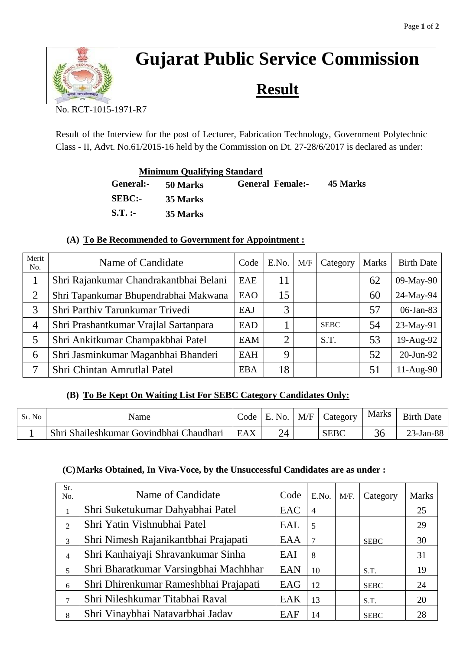

# **Gujarat Public Service Commission**

**Result**

No. RCT-1015-1971-R7

Result of the Interview for the post of Lecturer, Fabrication Technology, Government Polytechnic Class - II, Advt. No.61/2015-16 held by the Commission on Dt. 27-28/6/2017 is declared as under:

| <b>Minimum Qualifying Standard</b> |                 |                         |          |
|------------------------------------|-----------------|-------------------------|----------|
| General:-                          | <b>50 Marks</b> | <b>General Female:-</b> | 45 Marks |
| <b>SEBC:-</b>                      | 35 Marks        |                         |          |
| $S.T.$ :-                          | 35 Marks        |                         |          |

### **(A) To Be Recommended to Government for Appointment :**

| Merit<br>No.   | Name of Candidate                      | Code       | E.No. | M/F | Category    | <b>Marks</b> | <b>Birth Date</b> |
|----------------|----------------------------------------|------------|-------|-----|-------------|--------------|-------------------|
|                | Shri Rajankumar Chandrakantbhai Belani | EAE        | 11    |     |             | 62           | 09-May-90         |
| 2              | Shri Tapankumar Bhupendrabhai Makwana  | EAO        | 15    |     |             | 60           | 24-May-94         |
| 3              | Shri Parthiv Tarunkumar Trivedi        | EAJ        | 3     |     |             | 57           | 06-Jan-83         |
| $\overline{4}$ | Shri Prashantkumar Vrajlal Sartanpara  | <b>EAD</b> |       |     | <b>SEBC</b> | 54           | 23-May-91         |
| 5              | Shri Ankitkumar Champakbhai Patel      | <b>EAM</b> | ⌒     |     | S.T.        | 53           | 19-Aug-92         |
| 6              | Shri Jasminkumar Maganbhai Bhanderi    | <b>EAH</b> | 9     |     |             | 52           | 20-Jun-92         |
| 7              | Shri Chintan Amrutlal Patel            | <b>EBA</b> | 18    |     |             | 51           | 11-Aug-90         |

## **(B) To Be Kept On Waiting List For SEBC Category Candidates Only:**

| Sr. No | Name                                    | Code | E. No. | M/F | Category    | <b>Marks</b> | <b>Birth Date</b> |
|--------|-----------------------------------------|------|--------|-----|-------------|--------------|-------------------|
|        | Shri Shaileshkumar Govindbhai Chaudhari | EAX  |        |     | <b>SEBC</b> |              | $23$ -Jan-88      |

#### **(C)Marks Obtained, In Viva-Voce, by the Unsuccessful Candidates are as under :**

| Sr.<br>No.     | Name of Candidate                     | Code       | E.No.          | M/F. | Category    | <b>Marks</b> |
|----------------|---------------------------------------|------------|----------------|------|-------------|--------------|
|                | Shri Suketukumar Dahyabhai Patel      | EAC        | $\overline{4}$ |      |             | 25           |
| $\mathfrak{D}$ | Shri Yatin Vishnubhai Patel           | EAL        | 5              |      |             | 29           |
| 3              | Shri Nimesh Rajanikantbhai Prajapati  | EAA        | $\overline{7}$ |      | <b>SEBC</b> | 30           |
| $\overline{4}$ | Shri Kanhaiyaji Shravankumar Sinha    | EAI        | 8              |      |             | 31           |
| 5              | Shri Bharatkumar Varsingbhai Machhhar | <b>EAN</b> | 10             |      | S.T.        | 19           |
| 6              | Shri Dhirenkumar Rameshbhai Prajapati | EAG        | 12             |      | <b>SEBC</b> | 24           |
| 7              | Shri Nileshkumar Titabhai Raval       | EAK        | 13             |      | S.T.        | 20           |
| 8              | Shri Vinaybhai Natavarbhai Jadav      | EAF        | 14             |      | <b>SEBC</b> | 28           |